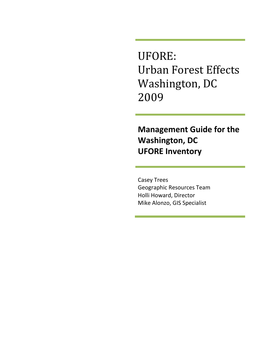UFORE: Urban Forest Effects Washington, DC 2009

# **Management Guide for the Washington, DC UFORE Inventory**

Casey Trees Geographic Resources Team Holli Howard, Director Mike Alonzo, GIS Specialist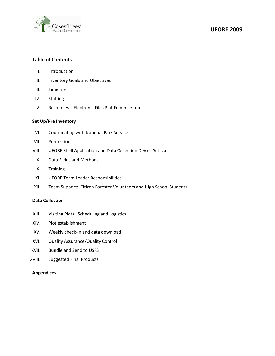

## **UFORE 2009**

#### **Table of Contents**

- I. Introduction
- II. Inventory Goals and Objectives
- III. Timeline
- IV. Staffing
- V. Resources Electronic Files Plot Folder set up

## **Set Up/Pre Inventory**

- VI. Coordinating with National Park Service
- VII. Permissions
- VIII. UFORE Shell Application and Data Collection Device Set Up
- IX. Data Fields and Methods
- X. Training
- XI. UFORE Team Leader Responsibilities
- XII. Team Support: Citizen Forester Volunteers and High School Students

#### **Data Collection**

- XIII. Visiting Plots: Scheduling and Logistics
- XIV. Plot establishment
- XV. Weekly check-in and data download
- XVI. Quality Assurance/Quality Control
- XVII. Bundle and Send to USFS
- XVIII. Suggested Final Products

#### **Appendices**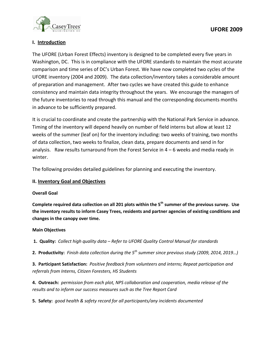

## **I. Introduction**

The UFORE (Urban Forest Effects) inventory is designed to be completed every five years in Washington, DC. This is in compliance with the UFORE standards to maintain the most accurate comparison and time series of DC's Urban Forest. We have now completed two cycles of the UFORE inventory (2004 and 2009). The data collection/inventory takes a considerable amount of preparation and management. After two cycles we have created this guide to enhance consistency and maintain data integrity throughout the years. We encourage the managers of the future inventories to read through this manual and the corresponding documents months in advance to be sufficiently prepared.

It is crucial to coordinate and create the partnership with the National Park Service in advance. Timing of the inventory will depend heavily on number of field interns but allow at least 12 weeks of the summer (leaf on) for the inventory including: two weeks of training, two months of data collection, two weeks to finalize, clean data, prepare documents and send in for analysis. Raw results turnaround from the Forest Service in  $4 - 6$  weeks and media ready in winter.

The following provides detailed guidelines for planning and executing the inventory.

## **II. Inventory Goal and Objectives**

## **Overall Goal**

**Complete required data collection on all 201 plots within the 5th summer of the previous survey. Use the inventory results to inform Casey Trees, residents and partner agencies of existing conditions and changes in the canopy over time.** 

## **Main Objectives**

**1. Quality:** *Collect high quality data – Refer to UFORE Quality Control Manual for standards*

**2. Productivity:** *Finish data collection during the 5th summer since previous study (2009, 2014, 2019…)*

**3. Participant Satisfaction:** *Positive feedback from volunteers and interns; Repeat participation and referrals from Interns, Citizen Foresters, HS Students*

**4. Outreach:** *permission from each plot, NPS collaboration and cooperation, media release of the results and to inform our success measures such as the Tree Report Card*

**5. Safety:** *good health & safety record for all participants/any incidents documented*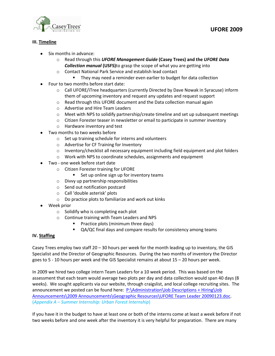

## **III. Timeline**

- Six months in advance:
	- o Read through this *UFORE Management Guide* **(Casey Trees) and the** *UFORE Data Collection manual* **(USFS)**to grasp the scope of what you are getting into
	- o Contact National Park Service and establish lead contact
		- **They may need a reminder even earlier to budget for data collection**
- Four to two months before start date:
	- o Call UFORE/iTree headquarters (currently Directed by Dave Nowak in Syracuse) inform them of upcoming inventory and request any updates and request support
	- o Read through this UFORE document and the Data collection manual again
	- o Advertise and Hire Team Leaders
	- $\circ$  Meet with NPS to solidify partnership/create timeline and set up subsequent meetings
	- $\circ$  Citizen Forester teaser in newsletter or email to participate in summer inventory
	- o Hardware inventory and test
- Two months to two weeks before
	- o Set up training schedule for interns and volunteers
	- o Advertise for CF Training for Inventory
	- $\circ$  Inventory/checklist all necessary equipment including field equipment and plot folders
	- o Work with NPS to coordinate schedules, assignments and equipment
- Two one week before start date
	- o Citizen Forester training for UFORE
		- Set up online sign up for inventory teams
	- o Divvy up partnership responsibilities
	- o Send out notification postcard
	- o Call 'double asterisk' plots
	- o Do practice plots to familiarize and work out kinks
- Week prior
	- o Solidify who is completing each plot
	- o Continue training with Team Leaders and NPS
		- **Practice plots (minimum three days)**
		- QA/QC final days and compare results for consistency among teams

## **IV. Staffing**

Casey Trees employ two staff  $20 - 30$  hours per week for the month leading up to inventory, the GIS Specialist and the Director of Geographic Resources. During the two months of inventory the Director goes to 5 - 10 hours per week and the GIS Specialist remains at about 15 – 20 hours per week.

In 2009 we hired two college intern Team Leaders for a 10 week period. This was based on the assessment that each team would average two plots per day and data collection would span 40 days (8 weeks). We sought applicants via our website, through craigslist, and local college recruiting sites. The announcement we posted can be found here: P:\Administration\Job Descriptions + Hiring\Job [Announcements\2009 Announcements\Geographic Resources\UFORE Team Leader 20090123.doc.](file://svr-1/public/Administration/Job%20Descriptions%20+%20Hiring/Job%20Announcements/2009%20Announcements/UFORE%20Team%20Leader%2020090123.doc) (*Appendix A – Summer Internship: Urban Forest Internship*)

If you have it in the budget to have at least one or both of the interns come at least a week before if not two weeks before and one week after the inventory it is very helpful for preparation. There are many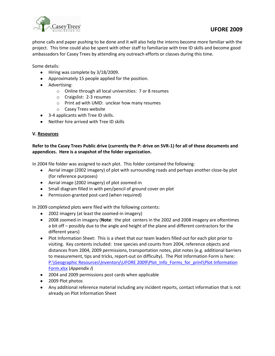

# **UFORE 2009**

phone calls and paper pushing to be done and it will also help the interns become more familiar with the project. This time could also be spent with other staff to familiarize with tree ID skills and become good ambassadors for Casey Trees by attending any outreach efforts or classes during this time.

Some details:

- Hiring was complete by 3/18/2009.
- Approximately 15 people applied for the position.
- Advertising:
	- o Online through all local universities: 7 or 8 resumes
	- o Craigslist: 2-3 resumes
	- o Print ad with UMD: unclear how many resumes
	- o Casey Trees website
- 3-4 applicants with Tree ID skills.
- Neither hire arrived with Tree ID skills

## **V. Resources**

## **Refer to the Casey Trees Public drive (currently the P: drive on SVR-1) for all of these documents and appendices. Here is a snapshot of the folder organization.**

In 2004 file folder was assigned to each plot. This folder contained the following:

- $\bullet$ Aerial image (2002 imagery) of plot with surrounding roads and perhaps another close-by plot (for reference purposes)
- Aerial image (2002 imagery) of plot zoomed-in
- Small diagram filled in with pen/pencil of ground cover on plot
- Permission-granted post-card (when required)

In 2009 completed plots were filed with the following contents:

- 2002 imagery (at least the zoomed-in imagery)
- 2008 zoomed-in imagery (**Note**: the plot centers in the 2002 and 2008 imagery are oftentimes a bit off – possibly due to the angle and height of the plane and different contractors for the different years)
- Plot Information Sheet: This is a sheet that our team leaders filled out for each plot prior to visiting. Key contents included: tree species and counts from 2004, reference objects and distances from 2004, 2009 permissions, transportation notes, plot notes (e.g. additional barriers to measurement, tips and tricks, report-out on difficulty). The Plot Information Form is here: P:\Geographic Resources\Inventory\UFORE 2009\Plot\_Info\_Forms\_for\_print\Plot Information [Form.xlsx](file://svr-1/public/Geographic%20Resources/Inventory/UFORE%202009/Plot_Info_Forms_for_print/Plot%20Information%20Form.xlsx) (*Appendix J*)
- 2004 and 2009 permissions post cards when applicable
- 2009 Plot photos
- Any additional reference material including any incident reports, contact information that is not already on Plot Information Sheet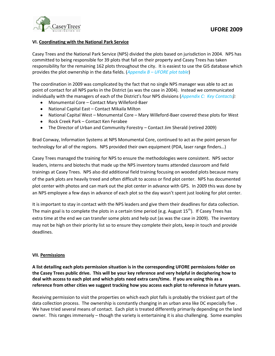

## **VI. Coordinating with the National Park Service**

Casey Trees and the National Park Service (NPS) divided the plots based on jurisdiction in 2004. NPS has committed to being responsible for 39 plots that fall on their property and Casey Trees has taken responsibility for the remaining 162 plots throughout the city. It is easiest to use the GIS database which provides the plot ownership in the data fields. (*Appendix B – UFORE plot table*)

The coordination in 2009 was complicated by the fact that no single NPS manager was able to act as point of contact for all NPS parks in the District (as was the case in 2004). Instead we communicated individually with the managers of each of the District's four NPS divisions (*Appendix C: Key Contacts):*

- Monumental Core Contact Mary Willeford-Baer  $\bullet$
- National Capital East Contact Mikaila Milton
- National Capital West Monumental Core Mary Willeford-Baer covered these plots for West
- Rock Creek Park Contact Ken Ferabee
- The Director of Urban and Community Forestry Contact Jim Sherald (retired 2009)  $\bullet$

Brad Conway, Information Systems at NPS Monumental Core, continued to act as the point person for technology for all of the regions. NPS provided their own equipment (PDA, laser range finders…)

Casey Trees managed the training for NPS to ensure the methodologies were consistent. NPS sector leaders, interns and biotechs that made up the NPS inventory teams attended classroom and field trainings at Casey Trees. NPS also did additional field training focusing on wooded plots because many of the park plots are heavily treed and often difficult to access or find plot center. NPS has documented plot center with photos and can mark out the plot center in advance with GPS. In 2009 this was done by an NPS employee a few days in advance of each plot so the day wasn't spent just looking for plot center.

It is important to stay in contact with the NPS leaders and give them their deadlines for data collection. The main goal is to complete the plots in a certain time period (e.g. August  $15<sup>th</sup>$ ). If Casey Trees has extra time at the end we can transfer some plots and help out (as was the case in 2009). The inventory may not be high on their priority list so to ensure they complete their plots, keep in touch and provide deadlines.

## **VII. Permissions**

**A list detailing each plots permission situation is in the corresponding UFORE permissions folder on the Casey Trees public drive. This will be your key reference and very helpful in deciphering how to deal with access to each plot and which plots need extra care/time. If you are using this as a reference from other cities we suggest tracking how you access each plot to reference in future years.** 

Receiving permission to visit the properties on which each plot falls is probably the trickiest part of the data collection process. The ownership is constantly changing in an urban area like DC especially five . We have tried several means of contact. Each plot is treated differently primarily depending on the land owner. This ranges immensely – though the variety is entertaining it is also challenging. Some examples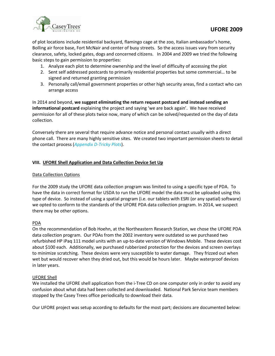

of plot locations include residential backyard, flamingo cage at the zoo, Italian ambassador's home, Bolling air force base, Fort McNair and center of busy streets. So the access issues vary from security clearance, safety, locked gates, dogs and concerned citizens. In 2004 and 2009 we tried the following basic steps to gain permission to properties:

- 1. Analyze each plot to determine ownership and the level of difficulty of accessing the plot
- 2. Sent self addressed postcards to primarily residential properties but some commercial… to be signed and returned granting permission
- 3. Personally call/email government properties or other high security areas, find a contact who can arrange access

In 2014 and beyond, **we suggest eliminating the return request postcard and instead sending an informational postcard** explaining the project and saying 'we are back again'. We have received permission for all of these plots twice now, many of which can be solved/requested on the day of data collection.

Conversely there are several that require advance notice and personal contact usually with a direct phone call. There are many highly sensitive sites. We created two important permission sheets to detail the contact process (*Appendix D-Tricky Plots*).

## **VIII. UFORE Shell Application and Data Collection Device Set Up**

## Data Collection Options

For the 2009 study the UFORE data collection program was limited to using a specific type of PDA. To have the data in correct format for USDA to run the UFORE model the data must be uploaded using this type of device. So instead of using a spatial program (i.e. our tablets with ESRI (or any spatial) software) we opted to conform to the standards of the UFORE PDA data collection program. In 2014, we suspect there may be other options.

## PDA

On the recommendation of Bob Hoehn, at the Northeastern Research Station, we chose the UFORE PDA data collection program. Our PDAs from the 2002 inventory were outdated so we purchased two refurbished HP iPaq 111 model units with an up-to-date version of Windows Mobile. These devices cost about \$100 each. Additionally, we purchased rubberized protection for the devices and screen overlays to minimize scratching. These devices were very susceptible to water damage. They frizzed out when wet but would recover when they dried out, but this would be hours later. Maybe waterproof devices in later years.

## UFORE Shell

We installed the UFORE shell application from the i-Tree CD on one computer only in order to avoid any confusion about what data had been collected and downloaded. National Park Service team members stopped by the Casey Trees office periodically to download their data.

Our UFORE project was setup according to defaults for the most part; decisions are documented below: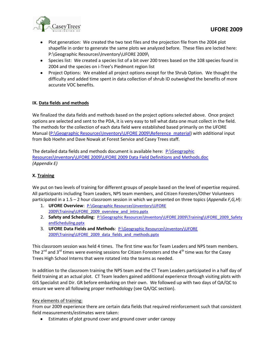

- Plot generation: We created the two text files and the projection file from the 2004 plot shapefile in order to generate the same plots we analyzed before. These files are locted here: P:\Geographic Resources\Inventory\UFORE 2009\
- Species list: We created a species list of a bit over 200 trees based on the 108 species found in 2004 and the species on i-Tree's Piedmont region list
- Project Options: We enabled all project options except for the Shrub Option. We thought the difficulty and added time spent in data collection of shrub ID outweighed the benefits of more accurate VOC benefits.

## **IX. Data fields and methods**

We finalized the data fields and methods based on the project options selected above. Once project options are selected and sent to the PDA, it is very easy to tell what data one must collect in the field. The methods for the collection of each data field were established based primarily on the UFORE Manual [\(P:\Geographic Resources\Inventory\UFORE 2009\Reference\\_material\)](file://svr-1/public/Geographic%20Resources/Inventory/UFORE%202009/Reference_material) with additional input from Bob Hoehn and Dave Nowak at Forest Service and Casey Trees staff.

The detailed data fields and methods document is available here: [P:\Geographic](file://svr-1/public/Geographic%20Resources/Inventory/UFORE%202009/UFORE%202009%20Data%20Field%20Definitions%20and%20Methods.doc)  [Resources\Inventory\UFORE 2009\UFORE 2009 Data Field Definitions and Methods.doc](file://svr-1/public/Geographic%20Resources/Inventory/UFORE%202009/UFORE%202009%20Data%20Field%20Definitions%20and%20Methods.doc) *(Appendix E)*

## **X. Training**

We put on two levels of training for different groups of people based on the level of expertise required. All participants including Team Leaders, NPS team members, and Citizen Foresters/Other Volunteers participated in a 1.5 – 2 hour classroom session in which we presented on three topics (*Appendix F,G,H*):

- 1. **UFORE Overview**: [P:\Geographic Resources\Inventory\UFORE](file://svr-1/public/Geographic%20Resources/Inventory/UFORE%202009/Training/UFORE_2009_overview_and_intro.pptx)  [2009\Training\UFORE\\_2009\\_overview\\_and\\_intro.pptx](file://svr-1/public/Geographic%20Resources/Inventory/UFORE%202009/Training/UFORE_2009_overview_and_intro.pptx)
- 2. Safety and Scheduling: P:\Geographic Resources\Inventory\UFORE 2009\Training\UFORE\_2009\_Safety [andScheduling.pptx](file://svr-1/public/Geographic%20Resources/Inventory/UFORE%202009/Training/UFORE_2009_data_fields_and_methods.pptx)
- 3. **UFORE Data Fields and Methods**: [P:\Geographic Resources\Inventory\UFORE](file://svr-1/public/Geographic%20Resources/Inventory/UFORE%202009/Training/UFORE_2009_data_fields_and_methods.pptx)  [2009\Training\UFORE\\_2009\\_data\\_fields\\_and\\_methods.pptx](file://svr-1/public/Geographic%20Resources/Inventory/UFORE%202009/Training/UFORE_2009_data_fields_and_methods.pptx)

This classroom session was held 4 times. The first time was for Team Leaders and NPS team members. The  $2^{nd}$  and  $3^{rd}$  times were evening sessions for Citizen Foresters and the  $4^{th}$  time was for the Casey Trees High School Interns that were rotated into the teams as needed.

In addition to the classroom training the NPS team and the CT Team Leaders participated in a half day of field training at an actual plot. CT Team leaders gained additional experience through visiting plots with GIS Specialist and Dir. GR before embarking on their own. We followed up with two days of QA/QC to ensure we were all following proper methodology (see QA/QC section).

## Key elements of training:

From our 2009 experience there are certain data fields that required reinforcement such that consistent field measurements/estimates were taken:

Estimates of plot ground cover and ground cover under canopy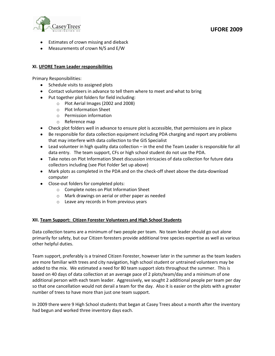

- Estimates of crown missing and dieback
- Measurements of crown N/S and E/W

## **XI. UFORE Team Leader responsibilities**

Primary Responsibilities:

- Schedule visits to assigned plots
- Contact volunteers in advance to tell them where to meet and what to bring
- Put together plot folders for field including:
	- o Plot Aerial Images (2002 and 2008)
	- o Plot Information Sheet
	- o Permission information
	- o Reference map
- Check plot folders well in advance to ensure plot is accessible, that permissions are in place
- Be responsible for data collection equipment including PDA charging and report any problems that may interfere with data collection to the GIS Specialist
- Lead volunteer in high quality data collection in the end the Team Leader is responsible for all data entry. The team support, CFs or high school student do not use the PDA.
- Take notes on Plot Information Sheet discussion intricacies of data collection for future data collectors including (see Plot Folder Set up above)
- Mark plots as completed in the PDA and on the check-off sheet above the data-download computer
- Close-out folders for completed plots:
	- o Complete notes on Plot Information Sheet
	- o Mark drawings on aerial or other paper as needed
	- o Leave any records in from previous years

## **XII. Team Support: Citizen Forester Volunteers and High School Students**

Data collection teams are a minimum of two people per team. No team leader should go out alone primarily for safety, but our Citizen foresters provide additional tree species expertise as well as various other helpful duties.

Team support, preferably is a trained Citizen Forester, however later in the summer as the team leaders are more familiar with trees and city navigation, high school student or untrained volunteers may be added to the mix. We estimated a need for 80 team support slots throughout the summer. This is based on 40 days of data collection at an average pace of 2 plots/team/day and a minimum of one additional person with each team leader. Aggressively, we sought 2 additional people per team per day so that one cancellation would not derail a team for the day. Also it is easier on the plots with a greater number of trees to have more than just one team support.

In 2009 there were 9 High School students that began at Casey Trees about a month after the inventory had begun and worked three inventory days each.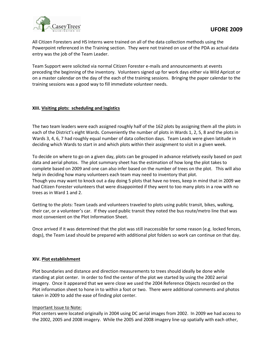

All Citizen Foresters and HS Interns were trained on all of the data collection methods using the Powerpoint referenced in the Training section. They were not trained on use of the PDA as actual data entry was the job of the Team Leader.

Team Support were solicited via normal Citizen Forester e-mails and announcements at events preceding the beginning of the inventory. Volunteers signed up for work days either via Wild Apricot or on a master calendar on the day of the each of the training sessions. Bringing the paper calendar to the training sessions was a good way to fill immediate volunteer needs.

## **XIII. Visiting plots: scheduling and logistics**

The two team leaders were each assigned roughly half of the 162 plots by assigning them all the plots in each of the District's eight Wards. Conveniently the number of plots in Wards 1, 2, 5, 8 and the plots in Wards 3, 4, 6, 7 had roughly equal number of data collection days. Team Leads were given latitude in deciding which Wards to start in and which plots within their assignment to visit in a given week.

To decide on where to go on a given day, plots can be grouped in advance relatively easily based on past data and aerial photos. The plot summary sheet has the estimation of how long the plot takes to complete based on 2009 and one can also infer based on the number of trees on the plot. This will also help in deciding how many volunteers each team may need to inventory that plot. Though you may want to knock out a day doing 5 plots that have no trees, keep in mind that in 2009 we had Citizen Forester volunteers that were disappointed if they went to too many plots in a row with no trees as in Ward 1 and 2.

Getting to the plots: Team Leads and volunteers traveled to plots using public transit, bikes, walking, their car, or a volunteer's car. If they used public transit they noted the bus route/metro line that was most convenient on the Plot Information Sheet.

Once arrived if it was determined that the plot was still inaccessible for some reason (e.g. locked fences, dogs), the Team Lead should be prepared with additional plot folders so work can continue on that day.

## **XIV. Plot establishment**

Plot boundaries and distance and direction measurements to trees should ideally be done while standing at plot center. In order to find the center of the plot we started by using the 2002 aerial imagery. Once it appeared that we were close we used the 2004 Reference Objects recorded on the Plot information sheet to hone in to within a foot or two. There were additional comments and photos taken in 2009 to add the ease of finding plot center.

## Important Issue to Note:

Plot centers were located originally in 2004 using DC aerial images from 2002. In 2009 we had access to the 2002, 2005 and 2008 imagery. While the 2005 and 2008 imagery line-up spatially with each other,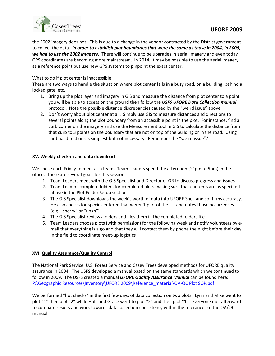

the 2002 imagery does not. This is due to a change in the vendor contracted by the District government to collect the data. *In order to establish plot boundaries that were the same as those in 2004, in 2009, we had to use the 2002 imagery.* There will continue to be upgrades in aerial imagery and even today GPS coordinates are becoming more mainstream. In 2014, it may be possible to use the aerial imagery as a reference point but use new GPS systems to pinpoint the exact center.

## What to do if plot center is inaccessible

There are two ways to handle the situation where plot center falls in a busy road, on a building, behind a locked gate, etc.

- 1. Bring up the plot layer and imagery in GIS and measure the distance from plot center to a point you will be able to access on the ground then follow the *USFS UFORE Data Collection manual* protocol. Note the possible distance discrepancies caused by the "weird issue" above.
- 2. Don't worry about plot center at all. Simply use GIS to measure distances and directions to several points along the plot boundary from an accessible point in the plot. For instance, find a curb corner on the imagery and use the Measurement tool in GIS to calculate the distance from that curb to 3 points on the boundary that are not on top of the building or in the road. Using cardinal directions is simplest but not necessary. Remember the "weird issue".'

## **XV. Weekly check-in and data download**

We chose each Friday to meet as a team. Team Leaders spend the afternoon (~2pm to 5pm) in the office. There are several goals for this session:

- 1. Team Leaders meet with the GIS Specialist and Director of GR to discuss progress and issues
- 2. Team Leaders complete folders for completed plots making sure that contents are as specified above in the Plot Folder Setup section
- 3. The GIS Specialist downloads the week's worth of data into UFORE Shell and confirms accuracy. He also checks for species entered that weren't part of the list and notes those occurrences (e.g. "cherry" or "unkn")
- 4. The GIS Specialist reviews folders and files them in the completed folders file
- 5. Team Leaders choose plots (with permission) for the following week and notify volunteers by email that everything is a go and that they will contact them by phone the night before their day in the field to coordinate meet-up logistics

## **XVI. Quality Assurance/Quality Control**

The National Park Service, U.S. Forest Service and Casey Trees developed methods for UFORE quality assurance in 2004. The USFS developed a manual based on the same standards which we continued to follow in 2009. The USFS created a manual *UFORE Quality Assurance Manual* can be found here: [P:\Geographic Resources\Inventory\UFORE 2009\Reference\\_material\QA-QC Plot SOP.pdf.](file://svr-1/public/Geographic%20Resources/Inventory/UFORE%202009/Reference_material/QA-QC%20Plot%20SOP.pdf)

We performed "hot checks" in the first few days of data collection on two plots. Lynn and Mike went to plot "1" then plot "2" while Holli and Grace went to plot "2" and then plot "1". Everyone met afterward to compare results and work towards data collection consistency within the tolerances of the QA/QC manual.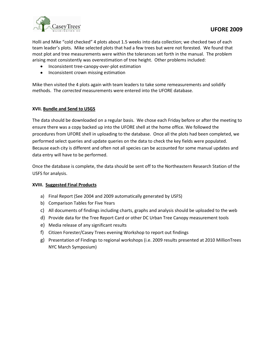

Holli and Mike "cold checked" 4 plots about 1.5 weeks into data collection; we checked two of each team leader's plots. Mike selected plots that had a few trees but were not forested. We found that most plot and tree measurements were within the tolerances set forth in the manual. The problem arising most consistently was overestimation of tree height. Other problems included:

- Inconsistent tree-canopy-over-plot estimation
- Inconsistent crown missing estimation

Mike then visited the 4 plots again with team leaders to take some remeasurements and solidify methods. The *corrected* measurements were entered into the UFORE database.

## **XVII. Bundle and Send to USGS**

The data should be downloaded on a regular basis. We chose each Friday before or after the meeting to ensure there was a copy backed up into the UFORE shell at the home office. We followed the procedures from UFORE shell in uploading to the database. Once all the plots had been completed, we performed select queries and update queries on the data to check the key fields were populated. Because each city is different and often not all species can be accounted for some manual updates and data entry will have to be performed.

Once the database is complete, the data should be sent off to the Northeastern Research Station of the USFS for analysis.

## **XVIII. Suggested Final Products**

- a) Final Report (See 2004 and 2009 automatically generated by USFS)
- b) Comparison Tables for Five Years
- c) All documents of findings including charts, graphs and analysis should be uploaded to the web
- d) Provide data for the Tree Report Card or other DC Urban Tree Canopy measurement tools
- e) Media release of any significant results
- f) Citizen Forester/Casey Trees evening Workshop to report out findings
- g) Presentation of Findings to regional workshops (i.e. 2009 results presented at 2010 MillionTrees NYC March Symposium)